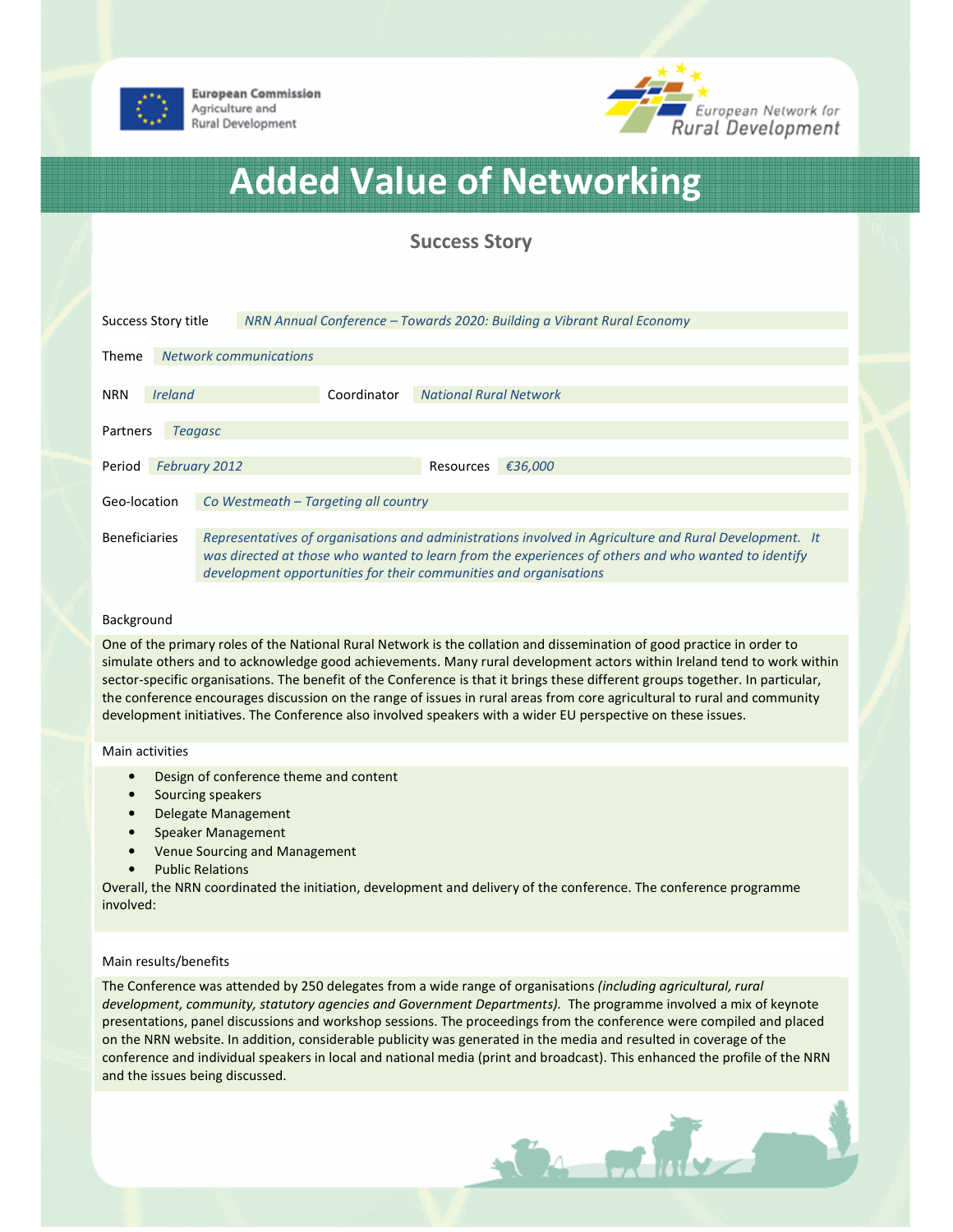

**European Commission** Agriculture and **Rural Development** 



# Added Value of Networking

# Success Story

| Success Story title                                  |                               |  | NRN Annual Conference – Towards 2020: Building a Vibrant Rural Economy                                                                                                                                                                                                             |             |                               |         |  |
|------------------------------------------------------|-------------------------------|--|------------------------------------------------------------------------------------------------------------------------------------------------------------------------------------------------------------------------------------------------------------------------------------|-------------|-------------------------------|---------|--|
| Theme                                                | <b>Network communications</b> |  |                                                                                                                                                                                                                                                                                    |             |                               |         |  |
| <b>NRN</b>                                           | <i><u><b>Ireland</b></u></i>  |  |                                                                                                                                                                                                                                                                                    | Coordinator | <b>National Rural Network</b> |         |  |
| Partners<br><b>Teagasc</b>                           |                               |  |                                                                                                                                                                                                                                                                                    |             |                               |         |  |
| Period                                               | <b>February 2012</b>          |  |                                                                                                                                                                                                                                                                                    |             | Resources                     | €36,000 |  |
| Co Westmeath - Targeting all country<br>Geo-location |                               |  |                                                                                                                                                                                                                                                                                    |             |                               |         |  |
| <b>Beneficiaries</b>                                 |                               |  | Representatives of organisations and administrations involved in Agriculture and Rural Development. It<br>was directed at those who wanted to learn from the experiences of others and who wanted to identify<br>development opportunities for their communities and organisations |             |                               |         |  |

# Background

One of the primary roles of the National Rural Network is the collation and dissemination of good practice in order to simulate others and to acknowledge good achievements. Many rural development actors within Ireland tend to work within sector-specific organisations. The benefit of the Conference is that it brings these different groups together. In particular, the conference encourages discussion on the range of issues in rural areas from core agricultural to rural and community development initiatives. The Conference also involved speakers with a wider EU perspective on these issues.

# Main activities

- Design of conference theme and content
- Sourcing speakers
- Delegate Management
- Speaker Management
- Venue Sourcing and Management
- Public Relations

Overall, the NRN coordinated the initiation, development and delivery of the conference. The conference programme involved:

# Main results/benefits

The Conference was attended by 250 delegates from a wide range of organisations (including agricultural, rural development, community, statutory agencies and Government Departments). The programme involved a mix of keynote presentations, panel discussions and workshop sessions. The proceedings from the conference were compiled and placed on the NRN website. In addition, considerable publicity was generated in the media and resulted in coverage of the conference and individual speakers in local and national media (print and broadcast). This enhanced the profile of the NRN and the issues being discussed.